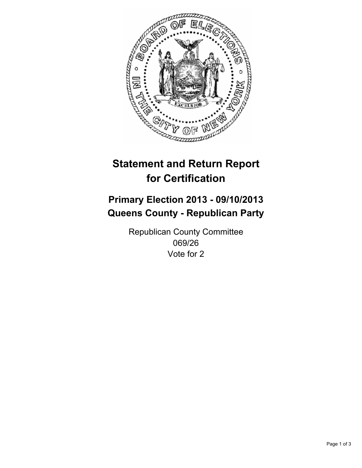

# **Statement and Return Report for Certification**

# **Primary Election 2013 - 09/10/2013 Queens County - Republican Party**

Republican County Committee 069/26 Vote for 2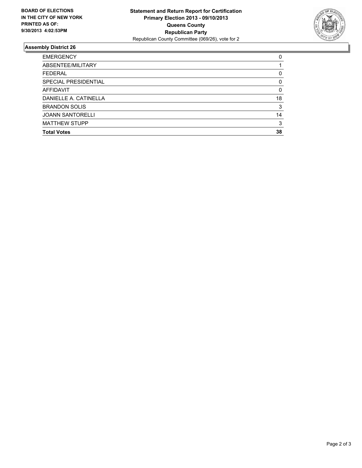

## **Assembly District 26**

| <b>EMERGENCY</b>        | 0        |
|-------------------------|----------|
| ABSENTEE/MILITARY       |          |
| <b>FEDERAL</b>          | 0        |
| SPECIAL PRESIDENTIAL    | $\Omega$ |
| AFFIDAVIT               | $\Omega$ |
| DANIELLE A. CATINELLA   | 18       |
| <b>BRANDON SOLIS</b>    | 3        |
| <b>JOANN SANTORELLI</b> | 14       |
| <b>MATTHEW STUPP</b>    | 3        |
| <b>Total Votes</b>      | 38       |